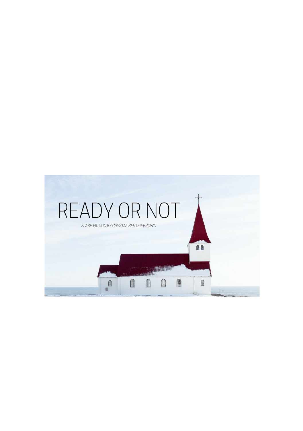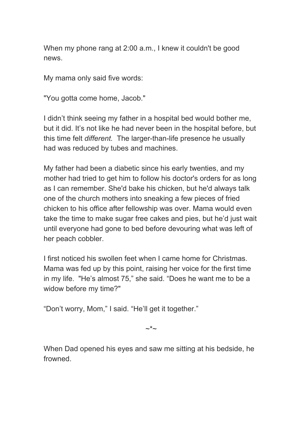When my phone rang at 2:00 a.m., I knew it couldn't be good news.

My mama only said five words:

"You gotta come home, Jacob."

I didn't think seeing my father in a hospital bed would bother me, but it did. It's not like he had never been in the hospital before, but this time felt *different.* The larger-than-life presence he usually had was reduced by tubes and machines.

My father had been a diabetic since his early twenties, and my mother had tried to get him to follow his doctor's orders for as long as I can remember. She'd bake his chicken, but he'd always talk one of the church mothers into sneaking a few pieces of fried chicken to his office after fellowship was over. Mama would even take the time to make sugar free cakes and pies, but he'd just wait until everyone had gone to bed before devouring what was left of her peach cobbler.

I first noticed his swollen feet when I came home for Christmas. Mama was fed up by this point, raising her voice for the first time in my life. "He's almost 75," she said. "Does he want me to be a widow before my time?"

"Don't worry, Mom," I said. "He'll get it together."

 $\sim^*$ ~

When Dad opened his eyes and saw me sitting at his bedside, he frowned.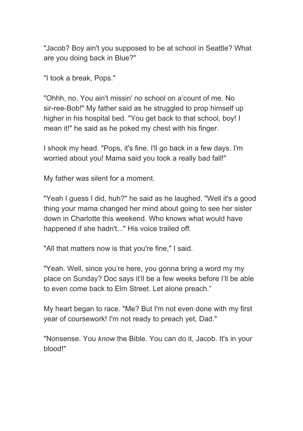"Jacob? Boy ain't you supposed to be at school in Seattle? What are you doing back in Blue?"

"I took a break, Pops."

"Ohhh, no. You ain't missin' no school on a'count of me. No sir-ree-Bob!" My father said as he struggled to prop himself up higher in his hospital bed. "You get back to that school, boy! I mean it!" he said as he poked my chest with his finger.

I shook my head. "Pops, it's fine. I'll go back in a few days. I'm worried about you! Mama said you took a really bad fall!"

My father was silent for a moment.

"Yeah I guess I did, huh?" he said as he laughed. "Well it's a good thing your mama changed her mind about going to see her sister down in Charlotte this weekend. Who knows what would have happened if she hadn't..." His voice trailed off.

"All that matters now is that you're fine," I said.

"Yeah. Well, since you're here, you gonna bring a word my my place on Sunday? Doc says it'll be a few weeks before I'll be able to even come back to Elm Street. Let alone preach."

My heart began to race. "Me? But I'm not even done with my first year of coursework! I'm not ready to preach yet, Dad."

"Nonsense. You *know* the Bible. You can do it, Jacob. It's in your blood!"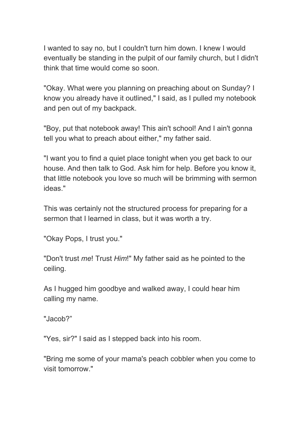I wanted to say no, but I couldn't turn him down. I knew I would eventually be standing in the pulpit of our family church, but I didn't think that time would come so soon.

"Okay. What were you planning on preaching about on Sunday? I know you already have it outlined," I said, as I pulled my notebook and pen out of my backpack.

"Boy, put that notebook away! This ain't school! And I ain't gonna tell you what to preach about either," my father said.

"I want you to find a quiet place tonight when you get back to our house. And then talk to God. Ask him for help. Before you know it, that little notebook you love so much will be brimming with sermon ideas."

This was certainly not the structured process for preparing for a sermon that I learned in class, but it was worth a try.

"Okay Pops, I trust you."

"Don't trust *me*! Trust *Him*!" My father said as he pointed to the ceiling.

As I hugged him goodbye and walked away, I could hear him calling my name.

"Jacob?"

"Yes, sir?" I said as I stepped back into his room.

"Bring me some of your mama's peach cobbler when you come to visit tomorrow."